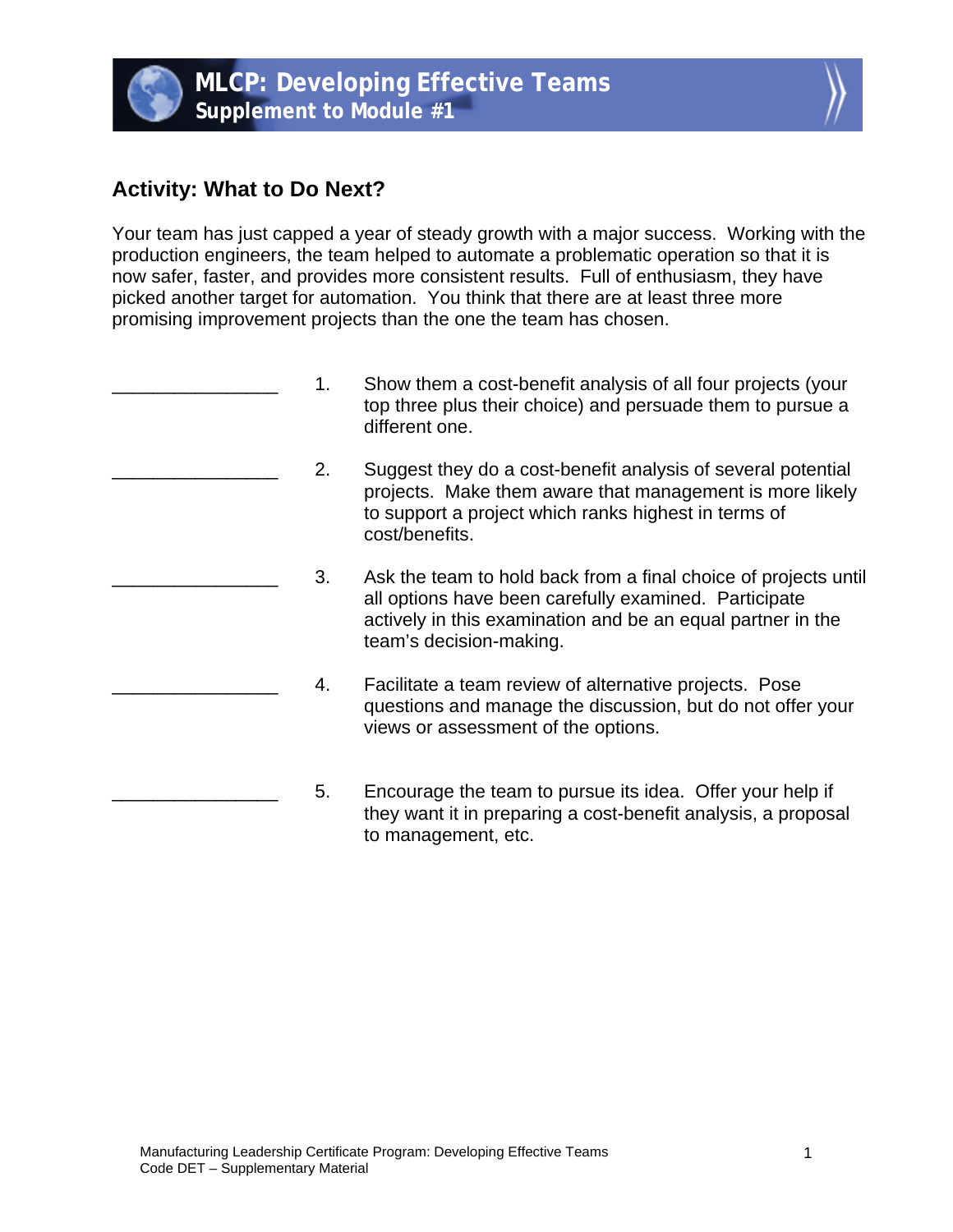

## **Activity: What to Do Next?**

Your team has just capped a year of steady growth with a major success. Working with the production engineers, the team helped to automate a problematic operation so that it is now safer, faster, and provides more consistent results. Full of enthusiasm, they have picked another target for automation. You think that there are at least three more promising improvement projects than the one the team has chosen.

- 1. Show them a cost-benefit analysis of all four projects (your top three plus their choice) and persuade them to pursue a different one.
- 2. Suggest they do a cost-benefit analysis of several potential projects. Make them aware that management is more likely to support a project which ranks highest in terms of cost/benefits.
- \_\_\_\_\_\_\_\_\_\_\_\_\_\_\_\_ 3. Ask the team to hold back from a final choice of projects until all options have been carefully examined. Participate actively in this examination and be an equal partner in the team's decision-making.
- 4. Facilitate a team review of alternative projects. Pose questions and manage the discussion, but do not offer your views or assessment of the options.
- 5. Encourage the team to pursue its idea. Offer your help if they want it in preparing a cost-benefit analysis, a proposal to management, etc.